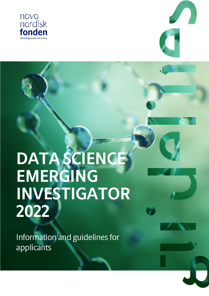



# **DATA SCIENCE EMERGING INVESTIGATOR 2022**

Information and guidelines for applicants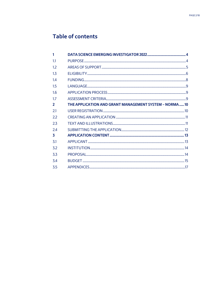# Table of contents

| 1              |                                                       |  |
|----------------|-------------------------------------------------------|--|
| 1.1            |                                                       |  |
| 1.2            |                                                       |  |
| 1 <sub>3</sub> |                                                       |  |
| 14             |                                                       |  |
| 1.5            |                                                       |  |
| 1.6            |                                                       |  |
| 1.7            |                                                       |  |
| $\overline{2}$ | THE APPLICATION AND GRANT MANAGEMENT SYSTEM - NORMA10 |  |
| 2.1            |                                                       |  |
| 2.2            |                                                       |  |
| 2.3            |                                                       |  |
| 24             |                                                       |  |
| 3              |                                                       |  |
| 3.1            |                                                       |  |
| 3.2            |                                                       |  |
| 3.3            |                                                       |  |
| 3.4            |                                                       |  |
| 3.5            |                                                       |  |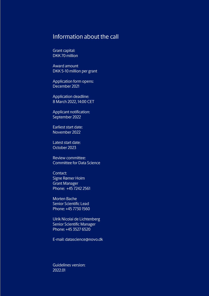# Information about the call

Grant capital: DKK 70 million

Award amount DKK 5-10 million per grant

Application form opens: December 2021

Application deadline: 8 March 2022, 14:00 CET

Applicant notification: September 2022

Earliest start date: November 2022

Latest start date: October 2023

Review committee: Committee for Data Science

Contact: Signe Rømer Holm Grant Manager Phone: +45 7242 2561

Morten Bache Senior Scientific Lead Phone: +45 7730 1560

Ulrik Nicolai de Lichtenberg Senior Scientific Manager Phone: +45 3527 6520

E-mail: datascience@novo.dk

Guidelines version: 2022.01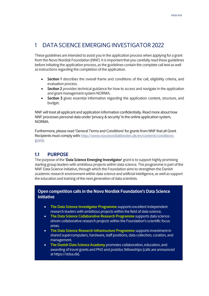# <span id="page-3-0"></span>1 DATA SCIENCE EMERGING INVESTIGATOR 2022

These guidelines are intended to assist you in the application process when applying for a grant from the Novo Nordisk Foundation (NNF). It is important that you carefully read these guidelines before initiating the application process, as the guidelines contain the complete call text as well as instructions regarding the completion of the application.

- **Section 1** describes the overall frame and conditions of the call, eligibility criteria, and evaluation process.
- **Section 2** provides technical guidance for how to access and navigate in the application and grant management system NORMA.
- **Section 3** gives essential information regarding the application content, structure, and budget.

NNF will treat all applicant and application information confidentially. Read more about how NNF processes personal data under 'privacy & security' in the online application system, NORMA.

Furthermore, please read 'General Terms and Conditions' for grants from NNF that all Grant Recipients must comply with: [http://www.novonordiskfonden.dk/en/content/conditions](http://www.novonordiskfonden.dk/en/content/conditions-grants)[grants](http://www.novonordiskfonden.dk/en/content/conditions-grants)

# <span id="page-3-1"></span>**1.1 PURPOSE**

The purpose of the '**Data Science Emerging Investigator**' grant is to support highly promising starting group leaders with ambitious projects within data science. The programme is part of the NNF Data Science Initiative, through which the Foundation aims to strengthen the Danish academic research environment within data science and artificial intelligence, as well as support the education and training of the next generation of data scientists.

## **Open competition calls in the Novo Nordisk Foundation's Data Science Initiative**

- **The Data Science Investigator Programme** supports excellent independent research leaders with ambitious projects within the field of data science.
- **The Data Science Collaborative Research Programme** supports data sciencedriven collaborative research projects within the Foundation's scientific focus areas.
- **The Data Science Research Infrastructure Programme** supports investment in shared supercomputers, hardware, staff positions, data collection, curation, and management.
- **The Danish Data Science Academy** promotes collaboration, education, and awarding of travel grants and PhD and postdoc fellowships (calls are announced at https://ddsa.dk).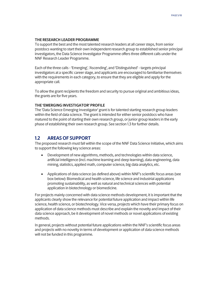#### **THE RESEARCH LEADER PROGRAMME**

To support the best and the most talented research leaders at all career steps, from senior postdocs wanting to start their own independent research group to established senior principal investigators, the Data Science Investigator Programme offers three different calls under the NNF Research Leader Programme.

Each of the three calls -'Emerging', 'Ascending', and 'Distinguished' - targets principal investigators at a specific career stage, and applicants are encouraged to familiarise themselves with the requirements in each category, to ensure that they are eligible and apply for the appropriate call.

To allow the grant recipients the freedom and security to pursue original and ambitious ideas, the grants are for five years.

#### **THE 'EMERGING INVESTIGATOR' PROFILE**

The 'Data Science Emerging Investigator' grant is for talented starting research group leaders within the field of data science. The grant is intended for either senior postdocs who have matured to the point of starting their own research group, or junior group leaders in the early phase of establishing their own research group. See section 1.3 for further details.

## <span id="page-4-0"></span>**1.2 AREAS OF SUPPORT**

The proposed research must fall within the scope of the NNF Data Science Initiative, which aims to support the following key science areas:

- Development of new algorithms, methods, and technologies within data science, artificial intelligence (incl. machine learning and deep learning), data engineering, data mining, statistics, applied math, computer science, big data analytics, etc.
- Applications of data science (as defined above) within NNF's scientific focus areas (see box below): Biomedical and health science, life science and industrial applications promoting sustainability, as well as natural and technical sciences with potential application in biotechnology or biomedicine.

For projects mainly concerned with data science methods development, it is important that the applicants clearly show the relevance for potential future application and impact within life science, health science, or biotechnology. Vice versa, projects which have their primary focus on application of data science methods must describe and explain the novelty and impact of their data science approach, be it development of novel methods or novel applications of existing methods.

In general, projects without potential future applications within the NNF's scientific focus areas and projects with no novelty in terms of development or application of data science methods will not be funded in this programme.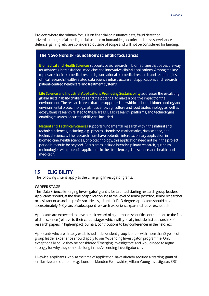Projects where the primary focus is on financial or insurance data, fraud detection, advertisement, social media, social science or humanities, security and mass surveillance, defence, gaming, etc. are considered outside of scope and will not be considered for funding.

## **The Novo Nordisk Foundation's scientific focus areas**

**Biomedical and Health Sciences** supports basic research in biomedicine that paves the way for advances in translational medicine and innovative clinical applications. Among the key topics are: basic biomedical research, translational biomedical research and technologies, clinical research, health-related data science infrastructure and applications, and research in patient-centred healthcare and treatment systems.

**Life Science and Industrial Applications Promoting Sustainability** addresses the escalating global sustainability challenges and the potential to make a positive impact for the environment. The research areas that are supported are within industrial biotechnology and environmental biotechnology, plant science, agriculture and food biotechnology as well as ecosystems research related to these areas. Basic research, platforms, and technologies enabling research on sustainability are included.

**Natural and Technical Sciences** supports fundamental research within the natural and technical sciences, including, e.g., physics, chemistry, mathematics, data science, and technical sciences. The research must have potential interdisciplinary application in biomedicine, health sciences, or biotechnology; this application need not be in the project period but could be beyond. Focus areas include interdisciplinary research, quantum technologies with potential application in the life sciences, data science, and health- and med-tech.

## <span id="page-5-0"></span>**1.3 ELIGIBILITY**

The following criteria apply to the Emerging Investigator grants.

## **CAREER STAGE**

The 'Data Science Emerging Investigator' grant is for talented starting research group leaders. Applicants should, at the time of application, be at the level of senior postdoc, senior researcher, or assistant or associate professor. Ideally, after their PhD degree, applicants should have approximately 4-8 years of subsequent research experience (parental leave excluded).

Applicants are expected to have a track record of high-impact scientific contributions to the field of data science (relative to their career stage), which will typically include first authorship of research papers in high-impact journals, contributions to key conferences in the field, etc.

Applicants who are already established independent group leaders with more than 2 years of group leader experience should apply to our 'Ascending Investigator' programme. Only exceptionally could they be considered 'Emerging Investigators' and would need to argue strongly for why they do not belong in the Ascending Investigator call.

Likewise, applicants who, at the time of application, have already secured a 'starting' grant of similar size and duration (e.g., Lundbeckfonden Fellowships, Villum Young Investigator, ERC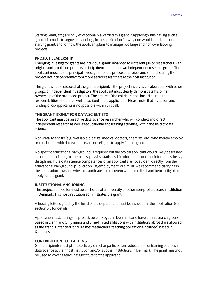Starting Grant, etc.) are only exceptionally awarded this grant. If applying while having such a grant, it is crucial to argue convincingly in the application for why one would need a second starting grant, and for how the applicant plans to manage two large and non-overlapping projects.

#### **PROJECT LEADERSHIP**

Emerging Investigator grants are individual grants awarded to excellent junior researchers with original and ambitious projects, to help them start their own independent research group. The applicant must be the principal investigator of the proposed project and should, during the project, act independently from more senior researchers at the host institution.

The grant is at the disposal of the grant recipient. If the project involves collaboration with other groups or independent investigators, the applicant must clearly demonstrate his or her ownership of the proposed project. The nature of the collaboration, including roles and responsibilities, should be well described in the application. Please note that invitation and funding of co-applicants is not possible within this call.

#### **THE GRANT IS ONLY FOR DATA SCIENTISTS**

The applicant must be an active data science researcher who will conduct and direct independent research as well as educational and training activities, within the field of data science.

Non-data scientists (e.g., wet lab biologists, medical doctors, chemists, etc.) who merely employ or collaborate with data scientists are not eligible to apply for this grant.

No specific educational background is required but the typical applicant would likely be trained in computer science, mathematics, physics, statistics, bioinformatics, or other informatics-heavy disciplines. If the data science competences of an applicant are not evident directly from the educational background, publication list, employment, or similar, we recommend clarifying in the application how and why the candidate is competent within the field, and hence eligible to apply for the grant.

#### **INSTITUTIONAL ANCHORING**

The project applied for must be anchored at a university or other non-profit research institution in Denmark. This host institution administrates the grant.

A hosting letter signed by the head of the department must be included in the application (see section 3.5 for details).

Applicants must, during the project, be employed in Denmark and have their research group based in Denmark. Only minor and time-limited affiliations with institutions abroad are allowed, as the grant is intended for 'full-time' researchers (teaching obligations included) based in Denmark.

## **CONTRIBUTION TO TEACHING**

Grant recipients must plan to actively direct or participate in educational or training courses in data science at their host institution and/or at other institutions in Denmark. The grant must not be used to cover a teaching substitute for the applicant.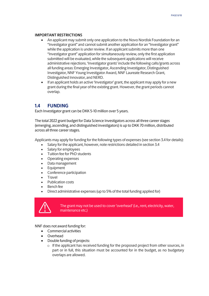### **IMPORTANT RESTRICTIONS**

- An applicant may submit only one application to the Novo Nordisk Foundation for an "Investigator grant" and cannot submit another application for an "Investigator grant" while the application is under review. If an applicant submits more than one "Investigator grant" application for simultaneously review, only the first application submitted will be evaluated, while the subsequent applications will receive administrative rejections. 'Investigator grants' include the following calls/grants across all funding areas: Emerging Investigator, Ascending Investigator, Distinguished Investigator, NNF Young Investigator Award, NNF Laureate Research Grant, Distinguished Innovator, and NERD.
- If an applicant holds an active 'Investigator' grant, the applicant may apply for a new grant during the final year of the existing grant. However, the grant periods cannot overlap.

## <span id="page-7-0"></span>**1.4 FUNDING**

Each Investigator grant can be DKK 5-10 million over 5 years.

The total 2022 grant budget for Data Science Investigators across all three career stages (emerging, ascending, and distinguished investigators) is up to DKK 70 million, distributed across all three career stages.

Applicants may apply for funding for the following types of expenses (see section 3.4 for details):

- Salary for the applicant, however, note restrictions detailed in section 3.4
- Salary for employees
- Tuition fee for PhD students
- Operating expenses
- Data management
- Equipment
- Conference participation
- **Travel**
- Publication costs
- Bench fee
- Direct administrative expenses (up to 5% of the total funding applied for)



The grant may not be used to cover 'overhead' (i.e., rent, electricity, water, maintenance etc.)

NNF does not award funding for:

- Commercial activities
- Overhead
- Double funding of projects:
	- $\circ$  If the applicant has received funding for the proposed project from other sources, in part or in full, this situation must be accounted for in the budget, as no budgetary overlaps are allowed.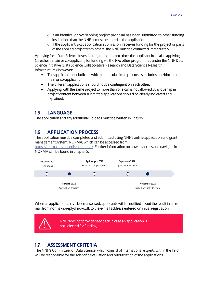- $\circ$  If an identical or overlapping project proposal has been submitted to other funding institutions than the NNF, it must be noted in the application.
- o If the applicant, post application submission, receives funding for the project or parts of the applied project from others, the NNF must be contacted immediately.

Applying for a Data Science Investigator grant does not block the applicant from also applying (as either a main or co-applicant) for funding via the two other programmes under the NNF Data Science Initiative (Data Science Collaborative Research and Data Science Research Infrastructure); however:

- The applicant must indicate which other submitted proposals includes her/him as a main or co-applicant.
- The different applications should not be contingent on each other.
- Applying with the same project to more than one call is not allowed. Any overlap in project content between submitted applications should be clearly indicated and explained.

## <span id="page-8-0"></span>**1.5 LANGUAGE**

<span id="page-8-1"></span>The application and any additional uploads must be written in English.

# **1.6 APPLICATION PROCESS**

The application must be completed and submitted using NNF's online application and grant management system, NORMA, which can be accessed from:

[https://norma.novonordiskfonden.dk.](https://norma.novonordiskfonden.dk/) Further information on how to access and navigate in NORMA can be found in chapter 2.



When all applications have been assessed, applicants will be notified about the result in an email from norma-[noreply@novo.dk](mailto:noreply@norma.novonordiskfonden.dk) to the e-mail address entered on initial registration.



# <span id="page-8-2"></span>**1.7 ASSESSMENT CRITERIA**

The NNF's Committee for Data Science, which consist of international experts within the field, will be responsible for the scientific evaluation and prioritisation of the applications.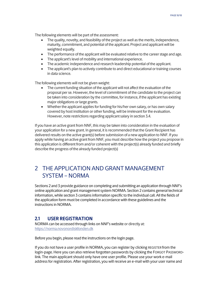The following elements will be part of the assessment:

- The quality, novelty, and feasibility of the project as well as the merits, independence, maturity, commitment, and potential of the applicant. Project and applicant will be weighted equally.
- The performance of the applicant will be evaluated relative to the career stage and age.
- The applicant's level of mobility and international experience.
- The academic independence and research leadership potential of the applicant.
- The applicant's plan to actively contribute to and direct educational or training courses in data science.

The following elements will not be given weight:

- The current funding situation of the applicant will not affect the evaluation of the proposal per se. However, the level of commitment of the candidate to the project can be taken into consideration by the committee, for instance, if the applicant has existing major obligations or large grants.
- Whether the applicant applies for funding for his/her own salary, or has own salary covered by host institution or other funding, will be irrelevant for the evaluation. However, note restrictions regarding applicant salary in section 3.4.

If you have an active grant from NNF, this may be taken into consideration in the evaluation of your application for a new grant. In general, it is recommended that the Grant Recipient has delivered results on the active grant(s) before submission of a new application to NNF. If you apply while having an active grant from NNF, you must describe how the project you propose in this application is different from and/or coherent with the project(s) already funded and briefly describe the progress of the already funded project(s)

# <span id="page-9-0"></span>2 THE APPLICATION AND GRANT MANAGEMENT SYSTEM – NORMA

Sections 2 and 3 provide guidance on completing and submitting an application through NNF's online application and grant management system NORMA. Section 2 contains general technical information, while section 3 contains information specific to the individual call. All the fields of the application form must be completed in accordance with these guidelines and the instructions in NORMA.

## <span id="page-9-1"></span>**2.1 USER REGISTRATION**

NORMA can be accessed through links on NNF's website or directly at: [https://norma.novonordiskfonden.dk](https://norma.novonordiskfonden.dk/)

Before you begin, please read the instructions on the login page.

If you do not have a user profile in NORMA, you can register by clicking REGISTER from the login-page. Here you can also retrieve forgotten passwords by clicking the FORGOT PASSWORDlink. The main applicant should only have one user profile. Please use your work e-mail address for registration. After registration, you will receive an e-mail with your user name and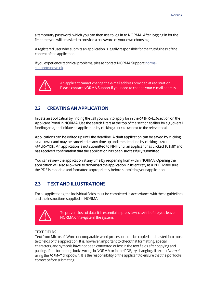a temporary password, which you can then use to log in to NORMA. After logging in for the first time you will be asked to provide a password of your own choosing.

A registered user who submits an application is legally responsible for the truthfulness of the content of the application.

If you experience technical problems, please contact NORMA Support[: norma](mailto:norma-support@novo.dk)[support@novo.dk.](mailto:norma-support@novo.dk)



An applicant cannot change the e-mail address provided at registration. Please contact NORMA Support if you need to change your e-mail address.

# <span id="page-10-0"></span>**2.2 CREATING AN APPLICATION**

Initiate an application by finding the call you wish to apply for in the OPEN CALLS-section on the Applicant Portal in NORMA. Use the search filters at the top of the section to filter by e.g., overall funding area, and initiate an application by clicking APPLY NOW next to the relevant call.

Applications can be edited up until the deadline. A draft application can be saved by clicking SAVE DRAFT and may be cancelled at any time up until the deadline by clicking CANCEL APPLICATION. An application is not submitted to NNF until an applicant has clicked SUBMIT and has received confirmation that the application has been successfully submitted.

You can review the application at any time by reopening from within NORMA. Opening the application will also allow you to download the application in its entirety as a PDF. Make sure the PDF is readable and formatted appropriately before submitting your application.

# <span id="page-10-1"></span>**2.3 TEXT AND ILLUSTRATIONS**

For all applications, the individual fields must be completed in accordance with these guidelines and the instructions supplied in NORMA.



To prevent loss of data, it is essential to press SAVE DRAFT before you leave NORMA or navigate in the system.

## **TEXT FIELDS**

Text from Microsoft Word or comparable word processors can be copied and pasted into most text fields of the application. It is, however, important to check that formatting, special characters, and symbols have not been converted or lost in the text fields after copying and pasting. If the formatting looks wrong in NORMA or in the PDF, try changing all text to *Normal* using the FORMAT dropdown. It is the responsibility of the applicant to ensure that the pdf looks correct before submitting.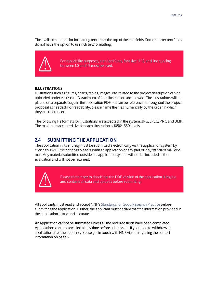The available options for formatting text are at the top of the text fields. Some shorter text fields do not have the option to use rich text formatting.



For readability purposes, standard fonts, font size 11-12, and line spacing between 1.0 and 1.5 must be used.

## **ILLUSTRATIONS**

Illustrations such as figures, charts, tables, images, etc. related to the project description can be uploaded under PROPOSAL.A Maximum of four illustrations are allowed. The illustrations will be placed on a separate page in the application PDF but can be referenced throughout the project proposal as needed. For readability, please name the files numerically by the order in which they are referenced.

<span id="page-11-0"></span>The following file formats for illustrations are accepted in the system: JPG, JPEG, PNGand BMP. The maximum accepted size for each illustration is 1050\*1650 pixels.

# **2.4 SUBMITTING THE APPLICATION**

The application in its entirety must be submitted electronically via the application system by clicking SUBMIT. It is not possible to submit an application or any part of it by standard mail or email. Any material submitted outside the application system will not be included in the evaluation and will not be returned.



Please remember to check that the PDF version of the application is legible and contains all data and uploads before submitting.

All applicants must read and accept NNF's Standards [for Good Research Practice](https://novonordiskfonden.dk/en/standards-for-good-research-practice/) before submitting the application. Further, the applicant must declare that the information provided in the application is true and accurate.

An application cannot be submitted unless all the required fields have been completed. Applications can be cancelled at any time before submission. If you need to withdraw an application after the deadline, please get in touch with NNF via e-mail, using the contact information on page 3.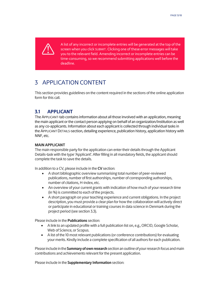

A list of any incorrect or incomplete entries will be generated at the top of the screen when you click SUBMIT. Clicking one of these error messages will take you to the relevant field. Amending incorrect or incomplete entries can be time-consuming, so we recommend submitting applications well before the deadline.

# <span id="page-12-0"></span>3 APPLICATION CONTENT

<span id="page-12-1"></span>This section provides guidelines on the content required in the sections of the online application form for this call.

# **3.1 APPLICANT**

The APPLICANT-tab contains information about all those involved with an application, meaning the main applicant or the contact person applying on behalf of an organization/institution as well as any co-applicants. Information about each applicant is collected through individual tasks in the APPLICANT DETAILS-section, detailing experience, publication history, application history with NNF, etc.

## **MAIN APPLICANT**

The main responsible party for the application can enter their details through the Applicant Details-task with the type 'Applicant'. After filling in all mandatory fields, the applicant should complete the task to save the details.

In addition to a CV, please include in the **CV** section:

- A short bibliographic overview summarising total number of peer-reviewed publications, number of first authorships, number of corresponding authorships, number of citations, H-index, etc.
- An overview of your current grants with indication of how much of your research time (in %) is committed to each of the projects.
- A short paragraph on your teaching experience and current obligations. In the project description, you must provide a clear plan for how the collaboration will actively direct or participate in educational or training courses in data science in Denmark during the project period (see section 3.3).

Please include in the **Publications** section:

- A link to an updated profile with a full publication list on, e.g., ORCID, Google Scholar, Web of Science, or Scopus.
- A list of the 10 most relevant publications (or conference contributions) for evaluating your merits. Kindly include a complete specification of all authors for each publication.

Please include in the **Summary of own research** section an outline of your research focus and main contributions and achievements relevant for the present application.

Please include in the **Supplementary Information** section: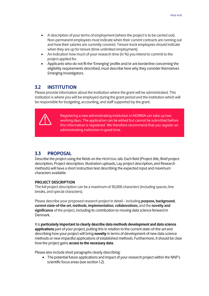- A description of your terms of employment (where the project is to be carried out). Non-permanent employees must indicate when their current contracts are running out and how their salaries are currently covered. Tenure-track employees should indicate when they are up for tenure (time-unlimited employment).
- An indication how much of your research time (in %) you intend to commit to the project applied for.
- Applicants who do not fit the 'Emerging' profile and/or are borderline concerning the eligibility requirements described, must describe here why they consider themselves Emerging Investigators.

# <span id="page-13-0"></span>**3.2 INSTITUTION**

Please provide information about the institution where the grant will be administrated. This institution is where you will be employed during the grant period and the institution which will be responsible for budgeting, accounting, and staff supported by the grant.



Registering a new administrating institution in NORMA can take up two working days. The application can be edited but cannot be submitted before this information is registered. We therefore recommend that you register an administrating institution in good time.

# <span id="page-13-1"></span>**3.3 PROPOSAL**

Describe the project using the fields on the PROPOSAL tab. Each field (Project title, Brief project description, Project description, Illustration uploads, Lay project description, and Research methods) will have a short instruction text describing the expected input and maximum characters available.

## **PROJECT DESCRIPTION**

The full project description can be a maximum of 30,000 characters (including spaces, line breaks, and special characters).

Please describe your proposed research project in detail – including **purpose, background**, **currentstate-of-the-art**, **methods**, **implementation**, **collaborations**, and the **novelty and significance** of the project, including its contribution to moving data science forward in Denmark.

It is **particularly important to clearly describe data methods development and data science applications** part of your project, putting this in relation to the current state-of-the-art and describing how your project will bring **novelty** in terms of development of new data science methods or new impactful applications of established methods. Furthermore, it should be clear how the project gains **access to the necessary data**.

Please also include short paragraphs clearly describing:

• The potential future applications and impact of your research project within the NNF's scientific focus areas (see section 1.2).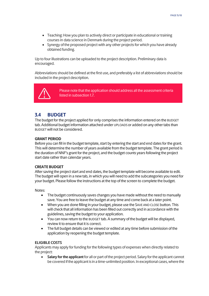- Teaching: How you plan to actively direct or participate in educational or training courses in data science in Denmark during the project period.
- Synergy of the proposed project with any other projects for which you have already obtained funding.

Up to four illustrations can be uploaded to the project description. Preliminary data is encouraged.

Abbreviations should be defined at the first use, and preferably a list of abbreviations should be included in the project description.



Please note that the application should address all the assessment criteria listed in subsection 1.7.

# <span id="page-14-0"></span>**3.4 BUDGET**

The budget for the project applied for only comprises the information entered on the BUDGET tab. Additional budget information attached under UPLOADS or added on any other tabs than BUDGET will not be considered.

## **GRANT PERIOD**

Before you can fill in the budget template, start by entering the start and end dates for the grant. This will determine the number of years available from the budget template. The grant period is the duration of NNF's grant for the project, and the budget counts years following the project start date rather than calendar years.

## **CREATE BUDGET**

After saving the project start and end dates, the budget template will become available to edit. The budget will open in a new tab, in which you will need to add the subcategories you need for your budget. Please follow the instructions at the top of the screen to complete the budget.

Notes:

- The budget continuously saves changes you have made without the need to manually save. You are free to leave the budget at any time and come back at a later point.
- When you are done filling in your budget, please use the SAVE AND CLOSE button. This will check that all information has been filled out correctly and in accordance with the guidelines, saving the budget to your application.
- You can now return to the BUDGET tab. A summary of the budget will be displayed, review it to ensure that it is correct.
- The full budget details can be viewed or edited at any time before submission of the application by reopening the budget template.

## **ELIGIBLE COSTS**

Applicants may apply for funding for the following types of expenses when directly related to the project:

• **Salary for the applicant** for all or part of the project period. Salary for the applicant cannot be covered if the applicant is in a time-unlimited position. In exceptional cases, where the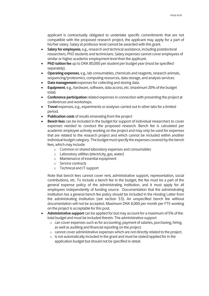applicant is contractually obligated to undertake specific commitments that are not compatible with the proposed research project, the applicant may apply for a part of his/her salary. Salary at professor level cannot be awarded with this grant.

- **Salary for employees**, e.g., research and technical assistance, including postdoctoral researchers, PhD students and technicians. Salary expenses cannot cover employees of similar or higher academic employment level than the applicant.
- **PhD tuition fee** up to DKK 80,000 per student per budget year (must be specified separately).
- **Operating expenses**, e.g., lab consumables, chemicals and reagents, research animals, sequencing/proteomics, computing resources, data storage, and analysis services.
- **Data management** expenses for collecting and storing data.
- **Equipment**, e.g., hardware, software, data access, etc. (maximum 20% of the budget total).
- **Conference participation** related expenses in connection with presenting the project at conferences and workshops.
- **Travel** expenses, e.g., experiments or analyses carried out in other labs for a limited period.
- **Publication costs** of results emanating from the project
- **Bench fees** can be included in the budget for support of individual researchers to cover expenses needed to conduct the proposed research. Bench fee is calculated per academic employee actively working on the project and may only be used for expenses that are related to the research project and which cannot be included within another individual budget category. The budget must specify the expenses covered by the bench fees, which may include:
	- o Common or shared laboratory expenses and consumables
	- o Laboratory utilities (electricity, gas, water)
	- o Maintenance of essential equipment
	- o Service contracts
	- o Technical and IT support

Note that bench fees cannot cover rent, administrative support, representation, social contributions, etc. To include a bench fee in the budget, the fee must be a part of the general expense policy of the administrating institution, and it must apply for all employees independently of funding source. Documentation that the administrating institution has a general bench fee policy should be included in the Hosting Letter from the administrating institution (see section 3.5). An unspecified bench fee without documentation will not be accepted. Maximum DKK 8,000 per month per FTE working on the project is acceptable for this post.

- **Administrative support** can be applied for but may account for a maximum of 5% of the total budget and must be included therein. The administrative support
	- o can cover expenses such as for accounting, payment of salaries, purchasing, hiring, as well as auditing and financial reporting on the project.
	- o cannot cover administrative expenses which are not directly related to the project.
	- $\circ$  is not automatically included in the grant and must be stated/applied for in the application budget but should not be specified in detail.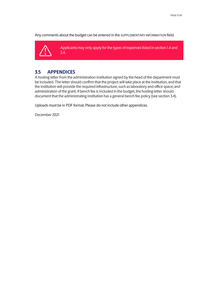Any comments about the budget can be entered in the SUPPLEMENTARY INFORMATION field.



Applicants may only apply for the types of expenses listed in section 1.4 and 3.4.

# <span id="page-16-0"></span>**3.5 APPENDICES**

A hosting letter from the administration institution signed by the head of the department must be included. The letter should confirm that the project will take place at the institution, and that the institution will provide the required infrastructure, such as laboratory and office space, and administration of the grant. If bench fee is included in the budget, the hosting letter should document that the administrating institution has a general bench fee policy (see section 3.4).

Uploads must be in PDF format. Please do not include other appendices.

December 2021